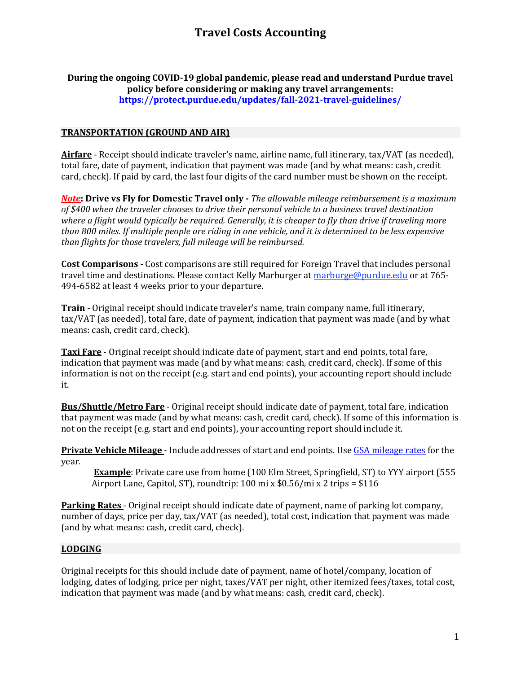### **During the ongoing COVID-19 global pandemic, please read and understand Purdue travel policy before considering or making any travel arrangements: <https://protect.purdue.edu/updates/fall-2021-travel-guidelines/>**

# **TRANSPORTATION (GROUND AND AIR)**

**Airfare** - Receipt should indicate traveler's name, airline name, full itinerary, tax/VAT (as needed), total fare, date of payment, indication that payment was made (and by what means: cash, credit card, check). If paid by card, the last four digits of the card number must be shown on the receipt.

*Note***: Drive vs Fly for Domestic Travel only -** *The allowable mileage reimbursement is a maximum of \$400 when the traveler chooses to drive their personal vehicle to a business travel destination where a flight would typically be required. Generally, it is cheaper to fly than drive if traveling more than 800 miles. If multiple people are riding in one vehicle, and it is determined to be less expensive than flights for those travelers, full mileage will be reimbursed.*

**Cost Comparisons** *-* Cost comparisons are still required for Foreign Travel that includes personal travel time and destinations. Please contact Kelly Marburger at [marburge@purdue.edu](mailto:marburge@purdue.edu) or at 765-494-6582 at least 4 weeks prior to your departure.

**Train** - Original receipt should indicate traveler's name, train company name, full itinerary, tax/VAT (as needed), total fare, date of payment, indication that payment was made (and by what means: cash, credit card, check).

**Taxi Fare** - Original receipt should indicate date of payment, start and end points, total fare, indication that payment was made (and by what means: cash, credit card, check). If some of this information is not on the receipt (e.g. start and end points), your accounting report should include it.

**Bus/Shuttle/Metro Fare** - Original receipt should indicate date of payment, total fare, indication that payment was made (and by what means: cash, credit card, check). If some of this information is not on the receipt (e.g. start and end points), your accounting report should include it.

**Private Vehicle Mileage** - Include addresses of start and end points. Use [GSA mileage rates](https://www.gsa.gov/travel/plan-book/transportation-airfare-rates-pov-rates-etc/privately-owned-vehicle-pov-mileage-reimbursement-rates) for the year.

**Example**: Private care use from home (100 Elm Street, Springfield, ST) to YYY airport (555 Airport Lane, Capitol, ST), roundtrip: 100 mi x \$0.56/mi x 2 trips = \$116

**Parking Rates** - Original receipt should indicate date of payment, name of parking lot company, number of days, price per day, tax/VAT (as needed), total cost, indication that payment was made (and by what means: cash, credit card, check).

#### **LODGING**

Original receipts for this should include date of payment, name of hotel/company, location of lodging, dates of lodging, price per night, taxes/VAT per night, other itemized fees/taxes, total cost, indication that payment was made (and by what means: cash, credit card, check).